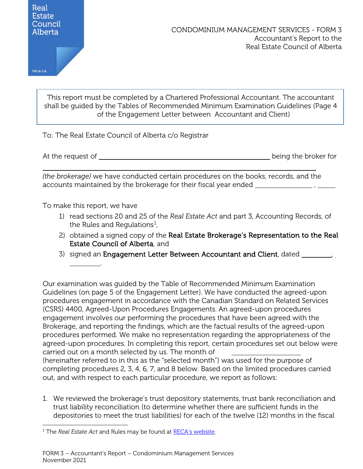reca.ca

This report must be completed by a Chartered Professional Accountant. The accountant shall be guided by the Tables of Recommended Minimum Examination Guidelines (Page 4 of the Engagement Letter between Accountant and Client)

To: The Real Estate Council of Alberta c/o Registrar

At the request of <u>equilibration</u> the broker for the broker for the broker for

i<br>L

*(the brokerage)* we have conducted certain procedures on the books, records, and the accounts maintained by the brokerage for their fiscal year ended ,

To make this report, we have

.

- 1) read sections 20 and 25 of the *Real Estate Act* and part 3, Accounting Records, of the Rules and Regulations $^1$  $^1$ ,
- 2) obtained a signed copy of the Real Estate Brokerage's Representation to the Real Estate Council of Alberta, and
- 3) signed an Engagement Letter Between Accountant and Client, dated

Our examination was guided by the Table of Recommended Minimum Examination Guidelines (on page 5 of the Engagement Letter). We have conducted the agreed-upon procedures engagement in accordance with the Canadian Standard on Related Services (CSRS) 4400, Agreed-Upon Procedures Engagements. An agreed-upon procedures engagement involves our performing the procedures that have been agreed with the Brokerage, and reporting the findings, which are the factual results of the agreed-upon procedures performed. We make no representation regarding the appropriateness of the agreed-upon procedures. In completing this report, certain procedures set out below were carried out on a month selected by us. The month of (hereinafter referred to in this as the "selected month") was used for the purpose of completing procedures 2, 3, 4, 6, 7, and 8 below. Based on the limited procedures carried

- out, and with respect to each particular procedure, we report as follows:
- 1. We reviewed the brokerage's trust depository statements, trust bank reconciliation and trust liability reconciliation (to determine whether there are sufficient funds in the depositories to meet the trust liabilities) for each of the twelve (12) months in the fiscal

<span id="page-0-0"></span><sup>&</sup>lt;sup>1</sup> The *Real Estate Act* and Rules may be found at **RECA's website**.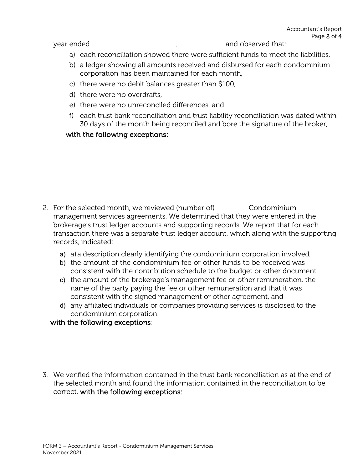year ended , and observed that:

- a) each reconciliation showed there were sufficient funds to meet the liabilities,
- b) a ledger showing all amounts received and disbursed for each condominium corporation has been maintained for each month,
- c) there were no debit balances greater than \$100,
- d) there were no overdrafts,
- e) there were no unreconciled differences, and
- f) each trust bank reconciliation and trust liability reconciliation was dated within 30 days of the month being reconciled and bore the signature of the broker,

## with the following exceptions:

- 2. For the selected month, we reviewed (number of) Condominium management services agreements. We determined that they were entered in the brokerage's trust ledger accounts and supporting records. We report that for each transaction there was a separate trust ledger account, which along with the supporting records, indicated:
	- a) a) a description clearly identifying the condominium corporation involved,
	- b) the amount of the condominium fee or other funds to be received was consistent with the contribution schedule to the budget or other document,
	- c) the amount of the brokerage's management fee or other remuneration, the name of the party paying the fee or other remuneration and that it was consistent with the signed management or other agreement, and
	- d) any affiliated individuals or companies providing services is disclosed to the condominium corporation.

with the following exceptions:

3. We verified the information contained in the trust bank reconciliation as at the end of the selected month and found the information contained in the reconciliation to be correct, with the following exceptions: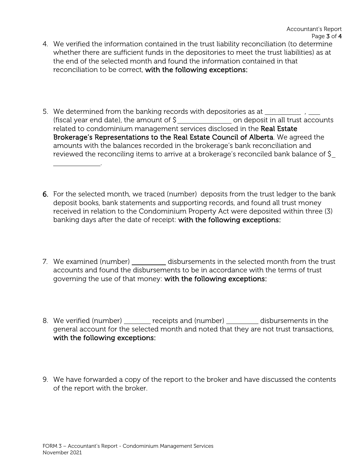- 4. We verified the information contained in the trust liability reconciliation (to determine whether there are sufficient funds in the depositories to meet the trust liabilities) as at the end of the selected month and found the information contained in that reconciliation to be correct, with the following exceptions:
- 5. We determined from the banking records with depositories as at \_\_\_\_\_\_\_\_\_\_\_\_, (fiscal year end date), the amount of  $\frac{1}{2}$  on deposit in all trust accounts related to condominium management services disclosed in the Real Estate Brokerage's Representations to the Real Estate Council of Alberta. We agreed the amounts with the balances recorded in the brokerage's bank reconciliation and reviewed the reconciling items to arrive at a brokerage's reconciled bank balance of \$
- 6. For the selected month, we traced (number) deposits from the trust ledger to the bank deposit books, bank statements and supporting records, and found all trust money received in relation to the Condominium Property Act were deposited within three (3) banking days after the date of receipt: with the following exceptions:
- 7. We examined (number) \_\_\_\_\_\_\_\_\_\_\_ disbursements in the selected month from the trust accounts and found the disbursements to be in accordance with the terms of trust governing the use of that money: with the following exceptions:
- 8. We verified (number) \_\_\_\_\_\_ receipts and (number) \_\_\_\_\_\_\_ disbursements in the general account for the selected month and noted that they are not trust transactions, with the following exceptions:
- 9. We have forwarded a copy of the report to the broker and have discussed the contents of the report with the broker.

.